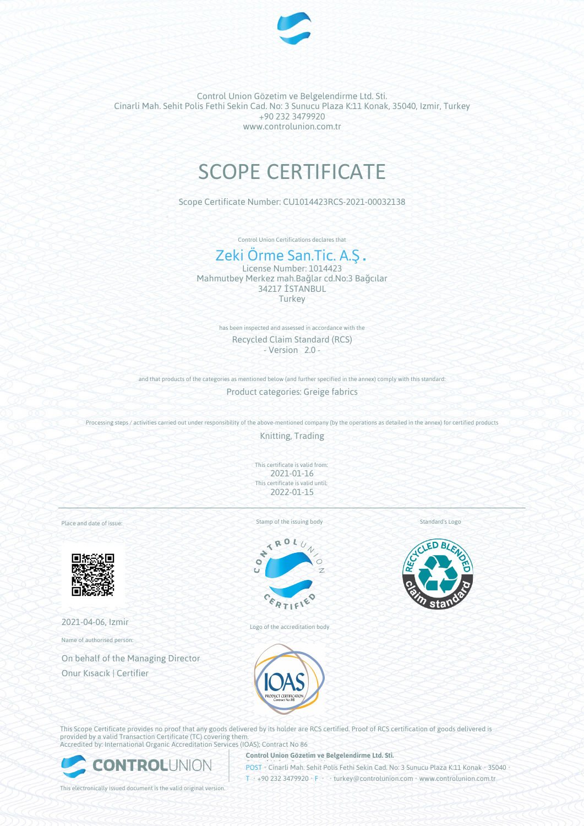

Control Union Gözetim ve Belgelendirme Ltd. Sti. Cinarli Mah. Sehit Polis Fethi Sekin Cad. No: 3 Sunucu Plaza K:11 Konak, 35040, Izmir, Turkey +90 232 3479920 www.controlunion.com.tr

# SCOPE CERTIFICATE

Scope Certificate Number: CU1014423RCS-2021-00032138

Control Union Certifications declares that

## Zeki Örme San.Tic. A.Ş.

License Number: 1014423 Mahmutbey Merkez mah.Bağlar cd.No:3 Bağcılar 34217 İSTANBUL **Turkey** 

> has been inspected and assessed in accordance with the Recycled Claim Standard (RCS) - Version 2.0 -

and that products of the categories as mentioned below (and further specified in the annex) comply with this standard: Product categories: Greige fabrics

Processing steps / activities carried out under responsibility of the above-mentioned company (by the operations as detailed in the annex) for certified products

Knitting, Trading

This certificate is valid from: 2021-01-16 This certificate is valid until: 2022-01-15

Place and date of issue:



2021-04-06, Izmir

Name of authorised person:

On behalf of the Managing Director Onur Kısacık | Certifier

Stamp of the issuing body



Logo of the accreditation body





This Scope Certificate provides no proof that any goods delivered by its holder are RCS certified. Proof of RCS certification of goods delivered is provided by a valid Transaction Certificate (TC) covering them. Accredited by: International Organic Accreditation Services (IOAS); Contract No 86



**Control Union Gözetim ve Belgelendirme Ltd. Sti.**

POST • Cinarli Mah. Sehit Polis Fethi Sekin Cad. No: 3 Sunucu Plaza K:11 Konak • 35040 • T • +90 232 3479920 • F • • turkey@controlunion.com • www.controlunion.com.tr

This electronically issued document is the valid original version.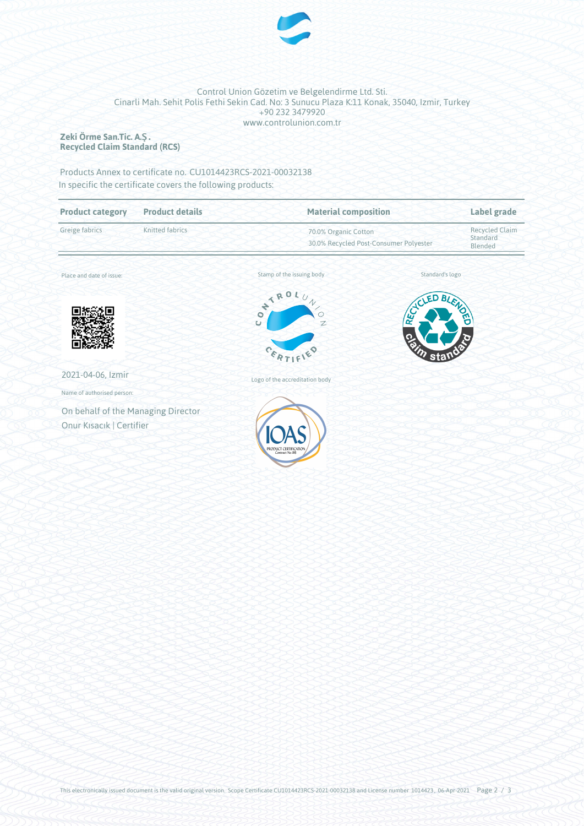

### Control Union Gözetim ve Belgelendirme Ltd. Sti. Cinarli Mah. Sehit Polis Fethi Sekin Cad. No: 3 Sunucu Plaza K:11 Konak, 35040, Izmir, Turkey +90 232 3479920 www.controlunion.com.tr

#### **Zeki Örme San.Tic. A.Ş. Recycled Claim Standard (RCS)**

Products Annex to certificate no. CU1014423RCS-2021-00032138 In specific the certificate covers the following products:

| <b>Product details</b>             | <b>Material composition</b>                                                        |                                                                | Label grade              |  |
|------------------------------------|------------------------------------------------------------------------------------|----------------------------------------------------------------|--------------------------|--|
| Knitted fabrics                    |                                                                                    | 70.0% Organic Cotton<br>30.0% Recycled Post-Consumer Polyester |                          |  |
|                                    | Stamp of the issuing body                                                          |                                                                | Standard's logo          |  |
|                                    | Ľ<br>$\frac{1}{2}$<br>$\sqrt{}$<br>$\mathcal{N}_o$<br>$\circ$<br>Ü<br>$\mathbb{Z}$ | <b>RE</b>                                                      | BLENDEL                  |  |
|                                    | $c_{\mathcal{E}_R}$                                                                | sta                                                            |                          |  |
|                                    | Logo of the accreditation body                                                     |                                                                |                          |  |
|                                    |                                                                                    |                                                                |                          |  |
| On behalf of the Managing Director |                                                                                    |                                                                |                          |  |
| Onur Kısacık   Certifier           | PRODUCT CERTIFICATION<br>Contract No.86                                            |                                                                |                          |  |
|                                    |                                                                                    | TRO                                                            | <b>ACLED</b><br><b>Q</b> |  |